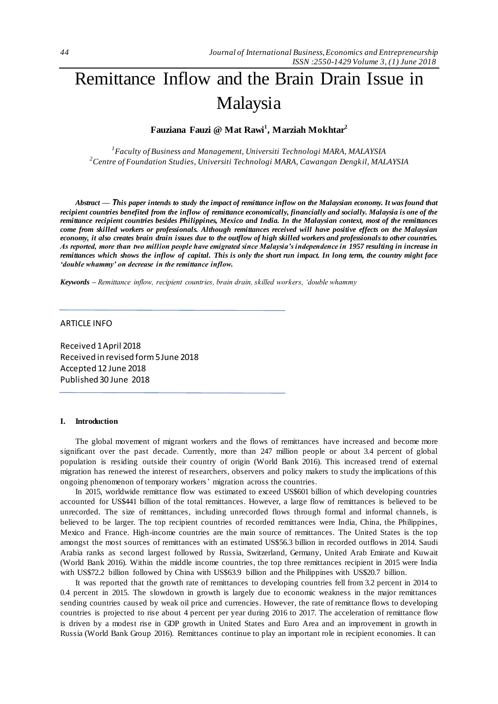# Remittance Inflow and the Brain Drain Issue in Malaysia

# **Fauziana Fauzi @ Mat Rawi<sup>1</sup> , Marziah Mokhtar<sup>2</sup>**

*1 Faculty of Business and Management, Universiti Technologi MARA, MALAYSIA <sup>2</sup>Centre of Foundation Studies, Universiti Technologi MARA, Cawangan Dengkil, MALAYSIA*

*Abstract — This paper intends to study the impact of remittance inflow on the Malaysian economy. It was found that recipient countries benefited from the inflow of remittance economically, financially and socially. Malaysia is one of the remittance recipient countries besides Philippines, Mexico and India. In the Malaysian context, most of the remittances come from skilled workers or professionals. Although remittances received will have positive effects on the Malaysian economy, it also creates brain drain issues due to the outflow of high skilled workers and professionals to other countries. As reported, more than two million people have emigrated since Malaysia's independence in 1957 resulting in increase in remittances which shows the inflow of capital. This is only the short run impact. In long term, the country might face 'double whammy' on decrease in the remittance inflow.*

*Keywords – Remittance inflow, recipient countries, brain drain, skilled workers, 'double whammy*

### ARTICLE INFO

Received 1 April 2018 Received in revised form 5 June 2018 Accepted 12 June 2018 Published 30 June 2018

#### **I. Introduction**

The global movement of migrant workers and the flows of remittances have increased and become more significant over the past decade. Currently, more than 247 million people or about 3.4 percent of global population is residing outside their country of origin (World Bank 2016). This increased trend of external migration has renewed the interest of researchers, observers and policy makers to study the implications of this ongoing phenomenon of temporary workers' migration across the countries.

In 2015, worldwide remittance flow was estimated to exceed US\$601 billion of which developing countries accounted for US\$441 billion of the total remittances. However, a large flow of remittances is believed to be unrecorded. The size of remittances, including unrecorded flows through formal and informal channels, is believed to be larger. The top recipient countries of recorded remittances were India, China, the Philippines, Mexico and France. High-income countries are the main source of remittances. The United States is the top amongst the most sources of remittances with an estimated US\$56.3 billion in recorded outflows in 2014. Saudi Arabia ranks as second largest followed by Russia, Switzerland, Germany, United Arab Emirate and Kuwait (World Bank 2016). Within the middle income countries, the top three remittances recipient in 2015 were India with US\$72.2 billion followed by China with US\$63.9 billion and the Philippines with US\$20.7 billion.

It was reported that the growth rate of remittances to developing countries fell from 3.2 percent in 2014 to 0.4 percent in 2015. The slowdown in growth is largely due to economic weakness in the major remittances sending countries caused by weak oil price and currencies. However, the rate of remittance flows to developing countries is projected to rise about 4 percent per year during 2016 to 2017. The acceleration of remittance flow is driven by a modest rise in GDP growth in United States and Euro Area and an improvement in growth in Russia (World Bank Group 2016). Remittances continue to play an important role in recipient economies. It can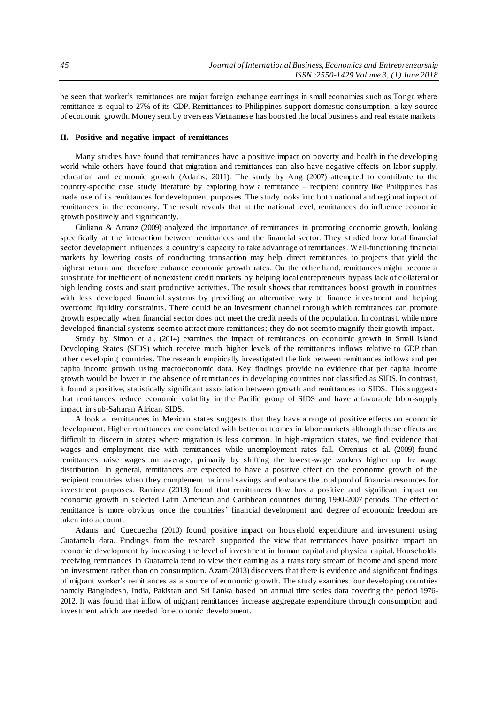be seen that worker's remittances are major foreign exchange earnings in small economies such as Tonga where remittance is equal to 27% of its GDP. Remittances to Philippines support domestic consumption, a key source of economic growth. Money sent by overseas Vietnamese has boosted the local business and real estate markets.

#### **II. Positive and negative impact of remittances**

Many studies have found that remittances have a positive impact on poverty and health in the developing world while others have found that migration and remittances can also have negative effects on labor supply, education and economic growth (Adams, 2011). The study by Ang (2007) attempted to contribute to the country-specific case study literature by exploring how a remittance – recipient country like Philippines has made use of its remittances for development purposes. The study looks into both national and regional impact of remittances in the economy. The result reveals that at the national level, remittances do influence economic growth positively and significantly.

Giuliano & Arranz (2009) analyzed the importance of remittances in promoting economic growth, looking specifically at the interaction between remittances and the financial sector. They studied how local financial sector development influences a country's capacity to take advantage of remittances. Well-functioning financial markets by lowering costs of conducting transaction may help direct remittances to projects that yield the highest return and therefore enhance economic growth rates. On the other hand, remittances might become a substitute for inefficient of nonexistent credit markets by helping local entrepreneurs bypass lack of c ollateral or high lending costs and start productive activities. The result shows that remittances boost growth in countries with less developed financial systems by providing an alternative way to finance investment and helping overcome liquidity constraints. There could be an investment channel through which remittances can promote growth especially when financial sector does not meet the credit needs of the population. In contrast, while more developed financial systems seem to attract more remittances; they do not seem to magnify their growth impact.

Study by Simon et al. (2014) examines the impact of remittances on economic growth in Small Island Developing States (SIDS) which receive much higher levels of the remittances inflows relative to GDP than other developing countries. The research empirically investigated the link between remittances inflows and per capita income growth using macroeconomic data. Key findings provide no evidence that per capita income growth would be lower in the absence of remittances in developing countries not classified as SIDS. In contrast, it found a positive, statistically significant association between growth and remittances to SIDS. This suggests that remittances reduce economic volatility in the Pacific group of SIDS and have a favorable labor-supply impact in sub-Saharan African SIDS.

A look at remittances in Mexican states suggests that they have a range of positive effects on economic development. Higher remittances are correlated with better outcomes in labor markets although these effects are difficult to discern in states where migration is less common. In high-migration states, we find evidence that wages and employment rise with remittances while unemployment rates fall. Orrenius et al. (2009) found remittances raise wages on average, primarily by shifting the lowest-wage workers higher up the wage distribution. In general, remittances are expected to have a positive effect on the economic growth of the recipient countries when they complement national savings and enhance the total pool of financial resources for investment purposes. Ramirez (2013) found that remittances flow has a positive and significant impact on economic growth in selected Latin American and Caribbean countries during 1990-2007 periods. The effect of remittance is more obvious once the countries' financial development and degree of economic freedom are taken into account.

Adams and Cuecuecha (2010) found positive impact on household expenditure and investment using Guatamela data. Findings from the research supported the view that remittances have positive impact on economic development by increasing the level of investment in human capital and physical capital. Households receiving remittances in Guatamela tend to view their earning as a transitory stream of income and spend more on investment rather than on consumption. Azam (2013) discovers that there is evidence and significant findings of migrant worker's remittances as a source of economic growth. The study examines four developing cou ntries namely Bangladesh, India, Pakistan and Sri Lanka based on annual time series data covering the period 1976- 2012. It was found that inflow of migrant remittances increase aggregate expenditure through consumption and investment which are needed for economic development.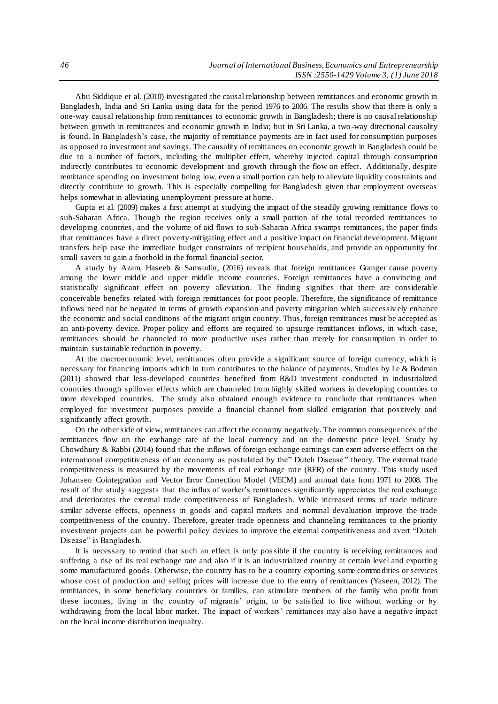Abu Siddique et al. (2010) investigated the causal relationship between remittances and economic growth in Bangladesh, India and Sri Lanka using data for the period 1976 to 2006. The results show that there is only a one-way causal relationship from remittances to economic growth in Bangladesh; there is no causal relationship between growth in remittances and economic growth in India; but in Sri Lanka, a two -way directional causality is found. In Bangladesh's case, the majority of remittance payments are in fact used for consumption purposes as opposed to investment and savings. The causality of remittances on economic growth in Bangladesh could be due to a number of factors, including the multiplier effect, whereby injected capital through consumption indirectly contributes to economic development and growth through the flow on effect. Additionally, despite remittance spending on investment being low, even a small portion can help to alleviate liquidity constraints and directly contribute to growth. This is especially compelling for Bangladesh given that employment overseas helps somewhat in alleviating unemployment pressure at home.

Gupta et al. (2009) makes a first attempt at studying the impact of the steadily growing remittance flows to sub-Saharan Africa. Though the region receives only a small portion of the total recorded remittances to developing countries, and the volume of aid flows to sub-Saharan Africa swamps remittances, the paper finds that remittances have a direct poverty-mitigating effect and a positive impact on financial development. Migrant transfers help ease the immediate budget constraints of recipient households, and provide an opportunity for small savers to gain a foothold in the formal financial sector.

A study by Azam, Haseeb & Samsudin, (2016) reveals that foreign remittances Granger cause poverty among the lower middle and upper middle income countries. Foreign remittances have a convincing and statistically significant effect on poverty alleviation. The finding signifies that there are considerable conceivable benefits related with foreign remittances for poor people. Therefore, the significance of remittance inflows need not be negated in terms of growth expansion and poverty mitigation which successiv ely enhance the economic and social conditions of the migrant origin country. Thus, foreign remittances must be accepted as an anti-poverty device. Proper policy and efforts are required to upsurge remittances inflows, in which case, remittances should be channeled to more productive uses rather than merely for consumption in order to maintain sustainable reduction in poverty.

At the macroeconomic level, remittances often provide a significant source of foreign currency, which is necessary for financing imports which in turn contributes to the balance of payments. Studies by Le & Bodman (2011) showed that less-developed countries benefited from R&D investment conducted in industrialized countries through spillover effects which are channeled from highly skilled workers in developing countries to more developed countries. The study also obtained enough evidence to conclude that remittances when employed for investment purposes provide a financial channel from skilled emigration that positively and significantly affect growth.

On the other side of view, remittances can affect the economy negatively. The common consequences of the remittances flow on the exchange rate of the local currency and on the domestic price level. Study by Chowdhury & Rabbi (2014) found that the inflows of foreign exchange earnings can exert adverse effects on the international competitiveness of an economy as postulated by the" Dutch Disease " theory. The external trade competitiveness is measured by the movements of real exchange rate (RER) of the country. This study used Johansen Cointegration and Vector Error Correction Model (VECM) and annual data from 1971 to 2008. The result of the study suggests that the influx of worker's remittances significantly appreciates the real exchange and deteriorates the external trade competitiveness of Bangladesh. While increased terms of trade indicate similar adverse effects, openness in goods and capital markets and nominal devaluation improve the trade competitiveness of the country. Therefore, greater trade openness and channeling remittances to the priority investment projects can be powerful policy devices to improve the external competitiveness and avert "Dutch Disease" in Bangladesh.

It is necessary to remind that such an effect is only possible if the country is receiving remittances and suffering a rise of its real exchange rate and also if it is an industrialized country at certain level and exporting some manufactured goods. Otherwise, the country has to be a country exporting some commodities or services whose cost of production and selling prices will increase due to the entry of remittances (Yaseen, 2012). The remittances, in some beneficiary countries or families, can stimulate members of the family who profit from these incomes, living in the country of migrants' origin, to be satisfied to live without working or by withdrawing from the local labor market. The impact of workers' remittances may also have a negative impact on the local income distribution inequality.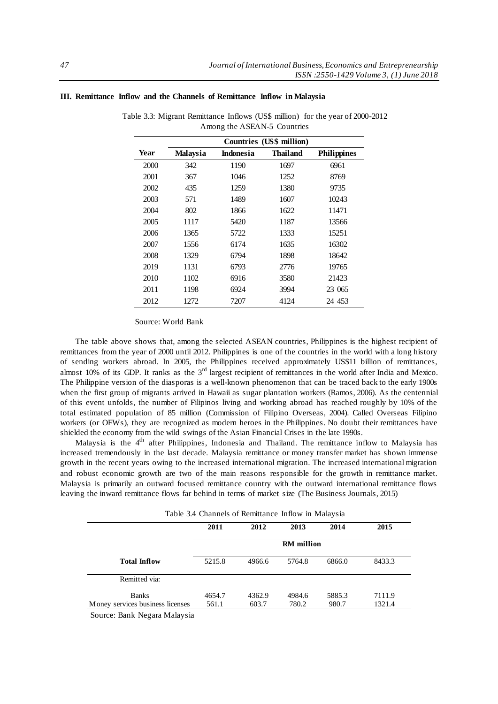|      | Countries (US\$ million) |           |                 |                    |
|------|--------------------------|-----------|-----------------|--------------------|
| Year | <b>Malaysia</b>          | Indonesia | <b>Thailand</b> | <b>Philippines</b> |
| 2000 | 342                      | 1190      | 1697            | 6961               |
| 2001 | 367                      | 1046      | 1252            | 8769               |
| 2002 | 435                      | 1259      | 1380            | 9735               |
| 2003 | 571                      | 1489      | 1607            | 10243              |
| 2004 | 802                      | 1866      | 1622            | 11471              |
| 2005 | 1117                     | 5420      | 1187            | 13566              |
| 2006 | 1365                     | 5722      | 1333            | 15251              |
| 2007 | 1556                     | 6174      | 1635            | 16302              |
| 2008 | 1329                     | 6794      | 1898            | 18642              |
| 2019 | 1131                     | 6793      | 2776            | 19765              |
| 2010 | 1102                     | 6916      | 3580            | 21423              |
| 2011 | 1198                     | 6924      | 3994            | 23 065             |
| 2012 | 1272                     | 7207      | 4124            | 24 453             |

## **III. Remittance Inflow and the Channels of Remittance Inflow in Malaysia**

Table 3.3: Migrant Remittance Inflows (US\$ million) for the year of 2000-2012 Among the ASEAN-5 Countries

#### Source: World Bank

The table above shows that, among the selected ASEAN countries, Philippines is the highest recipient of remittances from the year of 2000 until 2012. Philippines is one of the countries in the world with a long history of sending workers abroad. In 2005, the Philippines received approximately US\$11 billion of remittances, almost 10% of its GDP. It ranks as the 3<sup>rd</sup> largest recipient of remittances in the world after India and Mexico. The Philippine version of the diasporas is a well-known phenomenon that can be traced back to the early 1900s when the first group of migrants arrived in Hawaii as sugar plantation workers (Ramos, 2006). As the centennial of this event unfolds, the number of Filipinos living and working abroad has reached roughly by 10% of the total estimated population of 85 million (Commission of Filipino Overseas, 2004). Called Overseas Filipino workers (or OFWs), they are recognized as modern heroes in the Philippines. No doubt their remittances have shielded the economy from the wild swings of the Asian Financial Crises in the late 1990s.

Malaysia is the 4<sup>th</sup> after Philippines, Indonesia and Thailand. The remittance inflow to Malaysia has increased tremendously in the last decade. Malaysia remittance or money transfer market has shown immense growth in the recent years owing to the increased international migration. The increased international migration and robust economic growth are two of the main reasons responsible for the growth in remittance market. Malaysia is primarily an outward focused remittance country with the outward international remittance flows leaving the inward remittance flows far behind in terms of market size (The Business Journals, 2015)

Table 3.4 Channels of Remittance Inflow in Malaysia

|                                  | 2011              | 2012   | 2013   | 2014   | 2015   |
|----------------------------------|-------------------|--------|--------|--------|--------|
|                                  | <b>RM</b> million |        |        |        |        |
| <b>Total Inflow</b>              | 5215.8            | 4966.6 | 5764.8 | 6866.0 | 8433.3 |
| Remitted via:                    |                   |        |        |        |        |
| <b>Banks</b>                     | 4654.7            | 4362.9 | 4984.6 | 5885.3 | 7111.9 |
| Money services business licenses | 561.1             | 603.7  | 780.2  | 980.7  | 1321.4 |

Source: Bank Negara Malaysia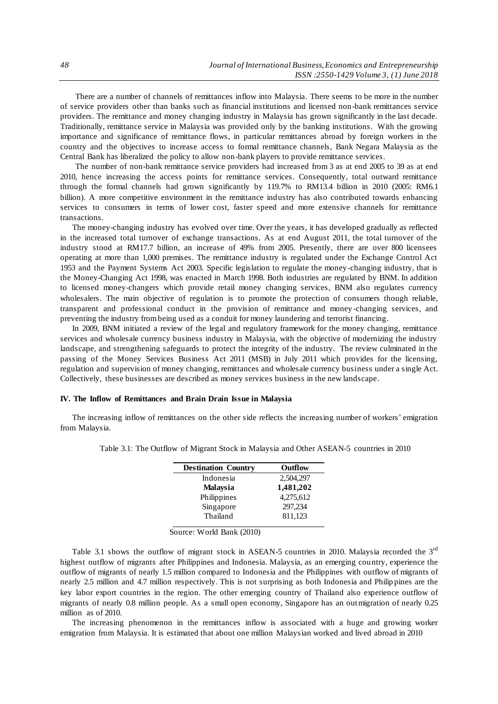There are a number of channels of remittances inflow into Malaysia. There seems to be more in the number of service providers other than banks such as financial institutions and licensed non-bank remittances service providers. The remittance and money changing industry in Malaysia has grown significantly in the last decade. Traditionally, remittance service in Malaysia was provided only by the banking institutions. With the growing importance and significance of remittance flows, in particular remittances abroad by foreign workers in the country and the objectives to increase access to formal remittance channels, Bank Negara Malaysia as the Central Bank has liberalized the policy to allow non-bank players to provide remittance services.

The number of non-bank remittance service providers had increased from 3 as at end 2005 to 39 as at end 2010, hence increasing the access points for remittance services. Consequently, total outward remittance through the formal channels had grown significantly by 119.7% to RM13.4 billion in 2010 (2005: RM6.1 billion). A more competitive environment in the remittance industry has also contributed towards enhancing services to consumers in terms of lower cost, faster speed and more extensive channels for remittance transactions.

The money-changing industry has evolved over time. Over the years, it has developed gradually as reflected in the increased total turnover of exchange transactions. As at end August 2011, the total turnover of the industry stood at RM17.7 billion, an increase of 49% from 2005. Presently, there are over 800 licensees operating at more than 1,000 premises. The remittance industry is regulated under the Exchange Control Act 1953 and the Payment Systems Act 2003. Specific legislation to regulate the money -changing industry, that is the Money-Changing Act 1998, was enacted in March 1998. Both industries are regulated by BNM. In addition to licensed money-changers which provide retail money changing services, BNM also regulates currency wholesalers. The main objective of regulation is to promote the protection of consumers though reliable, transparent and professional conduct in the provision of remittance and money -changing services, and preventing the industry from being used as a conduit for money laundering and terrorist financing.

In 2009, BNM initiated a review of the legal and regulatory framework for the money changing, remittance services and wholesale currency business industry in Malaysia, with the objective of modernizing the industry landscape, and strengthening safeguards to protect the integrity of the industry. The review culminated in the passing of the Money Services Business Act 2011 (MSB) in July 2011 which provides for the licensing, regulation and supervision of money changing, remittances and wholesale currency business under a single Act. Collectively, these businesses are described as money services business in the new landscape.

## **IV. The Inflow of Remittances and Brain Drain Issue in Malaysia**

The increasing inflow of remittances on the other side reflects the increasing number of workers' emigration from Malaysia.

| <b>Destination Country</b> | Outflow   |
|----------------------------|-----------|
| Indonesia                  | 2,504,297 |
| <b>Malaysia</b>            | 1,481,202 |
| Philippines                | 4,275,612 |
| Singapore                  | 297,234   |
| Thailand                   | 811,123   |
|                            |           |

Table 3.1: The Outflow of Migrant Stock in Malaysia and Other ASEAN-5 countries in 2010

Source: World Bank (2010)

Table 3.1 shows the outflow of migrant stock in ASEAN-5 countries in 2010. Malaysia recorded the 3<sup>rd</sup> highest outflow of migrants after Philippines and Indonesia. Malaysia, as an emerging country, experience the outflow of migrants of nearly 1.5 million compared to Indonesia and the Philippines with outflow of migrants of nearly 2.5 million and 4.7 million respectively. This is not surprising as both Indonesia and Philip pines are the key labor export countries in the region. The other emerging country of Thailand also experience outflow of migrants of nearly 0.8 million people. As a small open economy, Singapore has an outmigration of nearly 0.25 million as of 2010.

The increasing phenomenon in the remittances inflow is associated with a huge and growing worker emigration from Malaysia. It is estimated that about one million Malaysian worked and lived abroad in 2010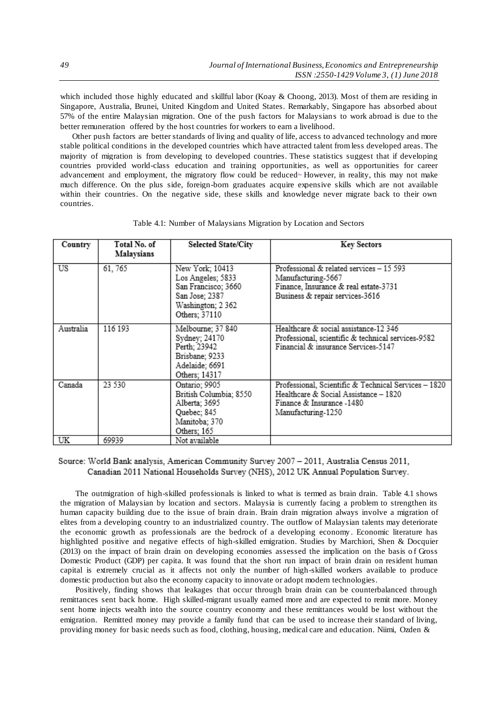which included those highly educated and skillful labor (Koay & Choong, 2013). Most of them are residing in Singapore, Australia, Brunei, United Kingdom and United States. Remarkably, Singapore has absorbed about 57% of the entire Malaysian migration. One of the push factors for Malaysians to work abroad is due to the better remuneration offered by the host countries for workers to earn a livelihood.

Other push factors are better standards of living and quality of life, access to advanced technology and more stable political conditions in the developed countries which have attracted talent from less developed areas. The majority of migration is from developing to developed countries. These statistics suggest that if developing countries provided world-class education and training opportunities, as well as opportunities for career advancement and employment, the migratory flow could be reduced<sup>-</sup> However, in reality, this may not make much difference. On the plus side, foreign-born graduates acquire expensive skills which are not available within their countries. On the negative side, these skills and knowledge never migrate back to their own countries.

| Country   | Total No. of<br>Malaysians | <b>Selected State/City</b>                                                                                          | <b>Key Sectors</b>                                                                                                                               |
|-----------|----------------------------|---------------------------------------------------------------------------------------------------------------------|--------------------------------------------------------------------------------------------------------------------------------------------------|
| US        | 61, 765                    | New York; 10413<br>Los Angeles; 5833<br>San Francisco; 3660<br>San Jose; 2387<br>Washington; 2 362<br>Others; 37110 | Professional & related services - 15 593<br>Manufacturing-5667<br>Finance, Insurance & real estate-3731<br>Business & repair services-3616       |
| Australia | 116 193                    | Melbourne; 37 840<br>Sydney; 24170<br>Perth; 23942<br>Brisbane; 9233<br>Adelaide; 6691<br>Others: 14317             | Healthcare & social assistance-12 346<br>Professional, scientific & technical services-9582<br>Financial & insurance Services-5147               |
| Canada    | 23 530                     | Ontario; 9905<br>British Columbia; 8550<br>Alberta; 3695<br>Quebec; 845<br>Manitoba; 370<br>Others; 165             | Professional, Scientific & Technical Services - 1820<br>Healthcare & Social Assistance - 1820<br>Finance & Insurance -1480<br>Manufacturing-1250 |
| UK        | 69939                      | Not available                                                                                                       |                                                                                                                                                  |

Table 4.1: Number of Malaysians Migration by Location and Sectors

## Source: World Bank analysis, American Community Survey 2007 - 2011, Australia Census 2011, Canadian 2011 National Households Survey (NHS), 2012 UK Annual Population Survey.

The outmigration of high-skilled professionals is linked to what is termed as brain drain. Table 4.1 shows the migration of Malaysian by location and sectors. Malaysia is currently facing a problem to strengthen its human capacity building due to the issue of brain drain. Brain drain migration always involve a migration of elites from a developing country to an industrialized country. The outflow of Malaysian talents may deteriorate the economic growth as professionals are the bedrock of a developing economy . Economic literature has highlighted positive and negative effects of high-skilled emigration. Studies by Marchiori, Shen & Docquier (2013) on the impact of brain drain on developing economies assessed the implication on the basis o f Gross Domestic Product (GDP) per capita. It was found that the short run impact of brain drain on resident human capital is extremely crucial as it affects not only the number of high-skilled workers available to produce domestic production but also the economy capacity to innovate or adopt modern technologies.

Positively, finding shows that leakages that occur through brain drain can be counterbalanced through remittances sent back home. High skilled-migrant usually earned more and are expected to remit more. Money sent home injects wealth into the source country economy and these remittances would be lost without the emigration. Remitted money may provide a family fund that can be used to increase their standard of living, providing money for basic needs such as food, clothing, housing, medical care and education. Niimi, Ozden &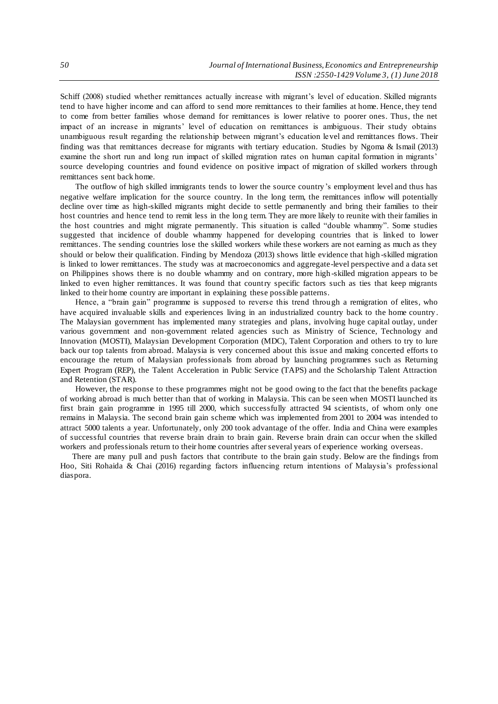Schiff (2008) studied whether remittances actually increase with migrant's level of education. Skilled migrants tend to have higher income and can afford to send more remittances to their families at home. Hence, they tend to come from better families whose demand for remittances is lower relative to poorer ones. Thus, the net impact of an increase in migrants' level of education on remittances is ambiguous. Their study obtains unambiguous result regarding the relationship between migrant's education level and remittances flows. Their finding was that remittances decrease for migrants with tertiary education. Studies by Ngoma & Ismail (2013) examine the short run and long run impact of skilled migration rates on human capital formation in migrants' source developing countries and found evidence on positive impact of migration of skilled workers through remittances sent back home.

The outflow of high skilled immigrants tends to lower the source country's employment level and thus has negative welfare implication for the source country. In the long term, the remittances inflow will potentially decline over time as high-skilled migrants might decide to settle permanently and bring their families to their host countries and hence tend to remit less in the long term. They are more likely to reunite with their families in the host countries and might migrate permanently. This situation is called "double whammy". Some studies suggested that incidence of double whammy happened for developing countries that is linked to lower remittances. The sending countries lose the skilled workers while these workers are not earning as much as they should or below their qualification. Finding by Mendoza (2013) shows little evidence that high -skilled migration is linked to lower remittances. The study was at macroeconomics and aggregate-level perspective and a data set on Philippines shows there is no double whammy and on contrary, more high -skilled migration appears to be linked to even higher remittances. It was found that country specific factors such as ties that keep migrants linked to their home country are important in explaining these possible patterns.

Hence, a "brain gain" programme is supposed to reverse this trend through a remigration of elites, who have acquired invaluable skills and experiences living in an industrialized country back to the home country . The Malaysian government has implemented many strategies and plans, involving huge capital outlay, under various government and non-government related agencies such as Ministry of Science, Technology and Innovation (MOSTI), Malaysian Development Corporation (MDC), Talent Corporation and others to try to lure back our top talents from abroad. Malaysia is very concerned about this issue and making concerted efforts to encourage the return of Malaysian professionals from abroad by launching programmes such as Returning Expert Program (REP), the Talent Acceleration in Public Service (TAPS) and the Scholarship Talent Attraction and Retention (STAR).

However, the response to these programmes might not be good owing to the fact that the benefits package of working abroad is much better than that of working in Malaysia. This can be seen when MOSTI launched its first brain gain programme in 1995 till 2000, which successfully attracted 94 scientists, of whom only one remains in Malaysia. The second brain gain scheme which was implemented from 2001 to 2004 was intended to attract 5000 talents a year. Unfortunately, only 200 took advantage of the offer. India and China were examples of successful countries that reverse brain drain to brain gain. Reverse brain drain can occur when the skilled workers and professionals return to their home countries after several years of experience working overseas.

There are many pull and push factors that contribute to the brain gain study. Below are the findings from Hoo, Siti Rohaida & Chai (2016) regarding factors influencing return intentions of Malaysia's professional diaspora.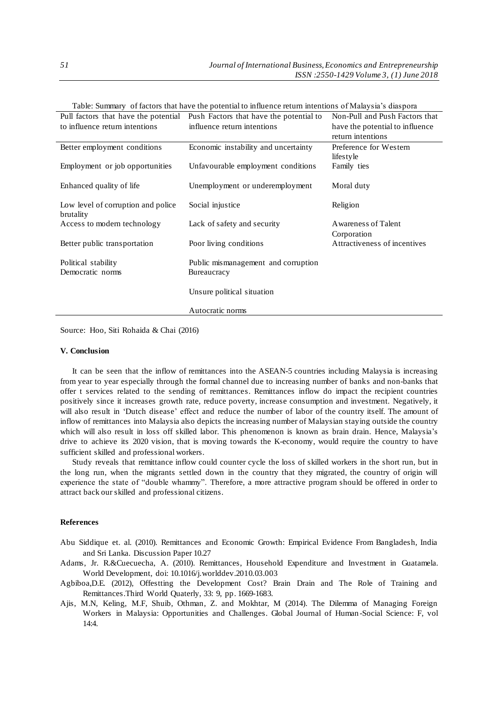| Table. Summary of factors that have the potential to immerice feturi intentions of Malaysia's diaspola |                                         |                                 |  |  |
|--------------------------------------------------------------------------------------------------------|-----------------------------------------|---------------------------------|--|--|
| Pull factors that have the potential                                                                   | Push Factors that have the potential to | Non-Pull and Push Factors that  |  |  |
| to influence return intentions                                                                         | influence return intentions             | have the potential to influence |  |  |
|                                                                                                        |                                         | return intentions               |  |  |
| Better employment conditions                                                                           | Economic instability and uncertainty    | Preference for Western          |  |  |
|                                                                                                        |                                         | lifestyle                       |  |  |
| Employment or job opportunities                                                                        | Unfavourable employment conditions      | Family ties                     |  |  |
|                                                                                                        |                                         |                                 |  |  |
| Enhanced quality of life                                                                               | Unemployment or underemployment         | Moral duty                      |  |  |
|                                                                                                        |                                         |                                 |  |  |
| Low level of corruption and police                                                                     | Social injustice                        | Religion                        |  |  |
| brutality                                                                                              |                                         |                                 |  |  |
| Access to modern technology                                                                            | Lack of safety and security             | Awareness of Talent             |  |  |
|                                                                                                        |                                         | Corporation                     |  |  |
| Better public transportation                                                                           | Poor living conditions                  | Attractiveness of incentives    |  |  |
|                                                                                                        |                                         |                                 |  |  |
| Political stability                                                                                    | Public mismanagement and corruption     |                                 |  |  |
| Democratic norms                                                                                       | Bureaucracy                             |                                 |  |  |
|                                                                                                        | Unsure political situation              |                                 |  |  |
|                                                                                                        |                                         |                                 |  |  |
|                                                                                                        | Autocratic norms                        |                                 |  |  |
|                                                                                                        |                                         |                                 |  |  |

Table: Summary of factors that have the potential to influence return intentions of Malaysia's diaspora

Source: Hoo, Siti Rohaida & Chai (2016)

#### **V. Conclusion**

It can be seen that the inflow of remittances into the ASEAN-5 countries including Malaysia is increasing from year to year especially through the formal channel due to increasing number of banks and non-banks that offer t services related to the sending of remittances. Remittances inflow do impact the recipient countries positively since it increases growth rate, reduce poverty, increase consumption and investment. Negatively, it will also result in 'Dutch disease' effect and reduce the number of labor of the country itself. The amount of inflow of remittances into Malaysia also depicts the increasing number of Malaysian staying outside the country which will also result in loss off skilled labor. This phenomenon is known as brain drain. Hence, Malaysia's drive to achieve its 2020 vision, that is moving towards the K-economy, would require the country to have sufficient skilled and professional workers.

Study reveals that remittance inflow could counter cycle the loss of skilled workers in the short run, but in the long run, when the migrants settled down in the country that they migrated, the country of origin will experience the state of "double whammy". Therefore, a more attractive program should be offered in order to attract back our skilled and professional citizens.

#### **References**

Abu Siddique et. al. (2010). Remittances and Economic Growth: Empirical Evidence From Bangladesh, India and Sri Lanka. Discussion Paper 10.27

Adams, Jr. R.&Cuecuecha, A. (2010). Remittances, Household Expenditure and Investment in Guatamela. World Development, doi: 10.1016/j.worlddev.2010.03.003

- Agbiboa,D.E. (2012), Offestting the Development Cost? Brain Drain and The Role of Training and Remittances.Third World Quaterly, 33: 9, pp. 1669-1683.
- Ajis, M.N, Keling, M.F, Shuib, Othman, Z. and Mokhtar, M (2014). The Dilemma of Managing Foreign Workers in Malaysia: Opportunities and Challenges. Global Journal of Human -Social Science: F, vol 14:4.